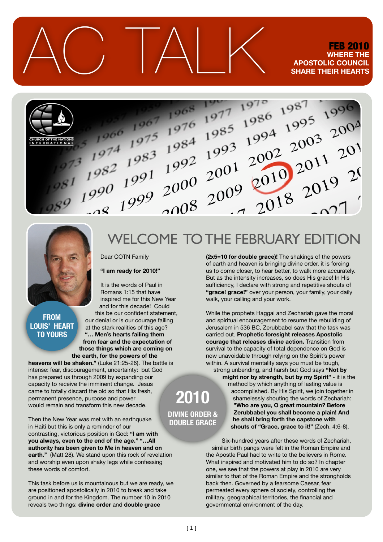$\triangle C$  TALK FEB 2010 **WHERE THE APOSTOLIC COUNCIL SHARE THEIR HEARTS**





#### **FROM LOUIS' HEART TO YOURS**

Dear COTN Family

**"I am ready for 2010!"** 

It is the words of Paul in

Romans 1:15 that have inspired me for this New Year and for this decade! Could this be our confident statement, our denial or is our courage failing at the stark realities of this age? **"… Men's hearts failing them from fear and the expectation of those things which are coming on the earth, for the powers of the** 

**heavens will be shaken."** (Luke 21:25-26). The battle is intense: fear, discouragement, uncertainty: but God has prepared us through 2009 by expanding our capacity to receive the imminent change. Jesus came to totally discard the old so that His fresh, permanent presence, purpose and power would remain and transform this new decade.

Then the New Year was met with an earthquake in Haiti but this is only a reminder of our contrasting, victorious position in God: **"I am with you always, even to the end of the age." "…All authority has been given to Me in heaven and on earth.''** (Matt 28). We stand upon this rock of revelation and worship even upon shaky legs while confessing these words of comfort.

This task before us is mountainous but we are ready, we are positioned apostolically in 2010 to break and take ground in and for the Kingdom. The number 10 in 2010 reveals two things: **divine order** and **double grace** 

# WELCOME TO THE FEBRUARY EDITION

**(2x5=10 for double grace)!** The shakings of the powers of earth and heaven is bringing divine order, it is forcing us to come closer, to hear better, to walk more accurately. But as the intensity increases, so does His grace! In His sufficiency, I declare with strong and repetitive shouts of **"grace! grace!"** over your person, your family, your daily walk, your calling and your work.

While the prophets Haggai and Zechariah gave the moral and spiritual encouragement to resume the rebuilding of Jerusalem in 536 BC, Zerubbabel saw that the task was carried out. **Prophetic foresight releases Apostolic courage that releases divine action.** Transition from survival to the capacity of total dependence on God is now unavoidable through relying on the Spirit's power within. A survival mentality says you must be tough, strong unbending, and harsh but God says **"Not by might nor by strength, but by my Spirit"** - it is the method by which anything of lasting value is

accomplished. By His Spirit, we join together in shamelessly shouting the words of Zechariah: **"Who are you, O great mountain? Before Zerubbabel you shall become a plain! And he shall bring forth the capstone with shouts of "Grace, grace to it!"** (Zech. 4:6-8).

Six-hundred years after these words of Zechariah, similar birth pangs were felt in the Roman Empire and the Apostle Paul had to write to the believers in Rome. What inspired and motivated him to do so? In chapter one, we see that the powers at play in 2010 are very similar to that of the Roman Empire and the strongholds back then. Governed by a fearsome Caesar, fear permeated every sphere of society, controlling the military, geographical territories, the financial and governmental environment of the day.

**2010 DIVINE ORDER & DOUBLE GRACE**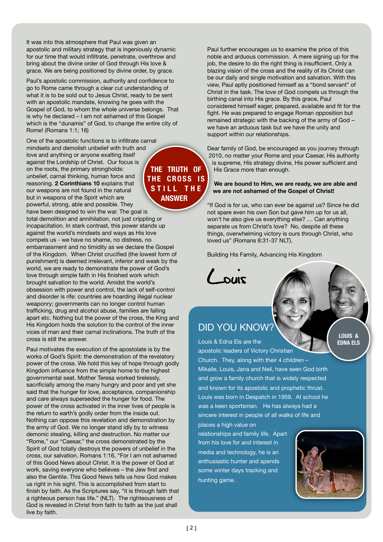It was into this atmosphere that Paul was given an apostolic and military strategy that is ingeniously dynamic for our time that would infiltrate, penetrate, overthrow and bring about the divine order of God through His love & grace. We are being positioned by divine order, by grace.

Paul's apostolic commission, authority and confidence to go to Rome came through a clear cut understanding of what it is to be sold out to Jesus Christ, ready to be sent with an apostolic mandate, knowing he goes with the Gospel of God, to whom the whole universe belongs. That is why he declared – I am not ashamed of this Gospel which is the "dunamis" of God, to change the entire city of Rome! (Romans 1:1; 16)

One of the apostolic functions is to infiltrate carnal mindsets and demolish unbelief with truth and love and anything or anyone exalting itself against the Lordship of Christ. Our focus is on the roots, the primary strongholds: unbelief, carnal thinking, human force and reasoning. **2 Corinthians 10** explains that our weapons are not found in the natural but in weapons of the Spirit which are powerful, strong, able and possible. They

have been designed to win the war. The goal is total demolition and annihilation, not just crippling or incapacitation. In stark contrast, this power stands up against the world's mindsets and ways as His love compels us - we have no shame, no distress, no embarrassment and no timidity as we declare the Gospel of the Kingdom. When Christ crucified (the lowest form of punishment) is deemed irrelevant, inferior and weak by the world, we are ready to demonstrate the power of God's love through simple faith in His finished work which brought salvation to the world. Amidst the world's obsession with power and control, the lack of self-control and disorder is rife: countries are hoarding illegal nuclear weaponry; governments can no longer control human trafficking, drug and alcohol abuse, families are falling apart etc. Nothing but the power of the cross, the King and His Kingdom holds the solution to the control of the inner vices of man and their carnal inclinations. The truth of the cross is still the answer.

Paul motivates the execution of the apostolate is by the works of God's Spirit: the demonstration of the revelatory power of the cross. We hold this key of hope through godly Kingdom influence from the simple home to the highest governmental seat. Mother Teresa worked tirelessly, sacrificially among the many hungry and poor and yet she said that the hunger for love, acceptance, companionship and care always superseded the hunger for food. The power of the cross activated in the inner lives of people is the return to earth's godly order from the inside out. Nothing can oppose this revelation and demonstration by the army of God. We no longer stand idly by to witness demonic stealing, killing and destruction. No matter our "Rome," our "Caesar," the cross demonstrated by the Spirit of God totally destroys the powers of unbelief in the cross, our salvation. Romans 1:16, "For I am not ashamed of this Good News about Christ. It is the power of God at work, saving everyone who believes – the Jew first and also the Gentile. This Good News tells us how God makes us right in his sight. This is accomplished from start to finish by faith. As the Scriptures say, "it is through faith that a righteous person has life." (NLT). The righteousness of God is revealed in Christ from faith to faith as the just shall live by faith.

**THE TRUTH OF THE CROSS IS STILL THE ANSWER**

Paul further encourages us to examine the price of this noble and arduous commission. A mere signing up for the job, the desire to do the right thing is insufficient. Only a blazing vision of the cross and the reality of its Christ can be our daily and single motivation and salvation. With this view, Paul aptly positioned himself as a "bond servant" of Christ in the task. The love of God compels us through the birthing canal into His grace. By this grace, Paul considered himself eager, prepared, available and fit for the fight. He was prepared to engage Roman opposition but remained strategic with the backing of the army of God – we have an arduous task but we have the unity and support within our relationships.

Dear family of God, be encouraged as you journey through 2010, no matter your Rome and your Caesar, His authority is supreme, His strategy divine, His power sufficient and His Grace more than enough.

#### **We are bound to Him, we are ready, we are able and we are not ashamed of the Gospel of Christ!**

"If God is for us, who can ever be against us? Since he did not spare even his own Son but gave him up for us all, won't he also give us everything else? … Can anything separate us from Christ's love? No, despite all these things, overwhelming victory is ours through Christ, who loved us" (Romans 8:31-37 NLT).

Building His Family, Advancing His Kingdom

Louis

### DID YOU KNOW?

Louis & Edna Els are the apostolic leaders of Victory Christian Church. They, along with their 4 children – Mikaile, Louis, Jana and Neil, have seen God birth and grow a family church that is widely respected and known for its apostolic and prophetic thrust. Louis was born in Despatch in 1959. At school he was a keen sportsman. He has always had a sincere interest in people of all walks of life and

places a high value on relationships and family life. Apart from his love for and interest in media and technology, he is an enthusiastic hunter and spends some winter days tracking and hunting game.



**LOUIS & EDNA ELS**